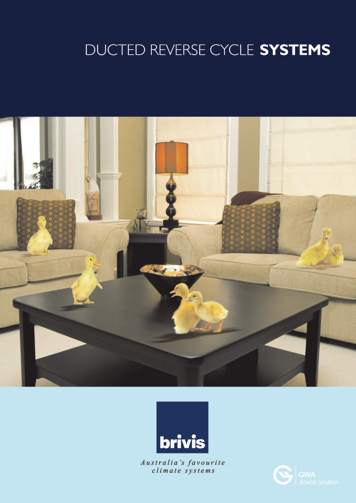# DUCTED REVERSE CYCLE SYSTEMS



![](_page_0_Picture_2.jpeg)

Australia's favourite<br>climate systems

![](_page_0_Picture_4.jpeg)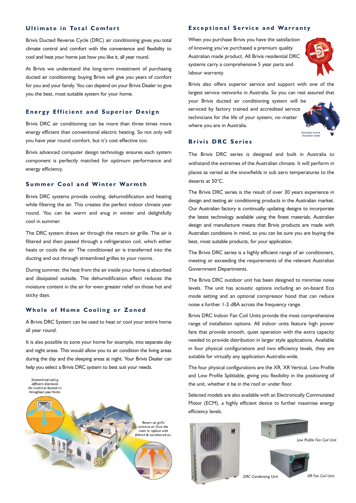#### **Ultimate in Total Comfort**

Brivis Ducted Reverse Cycle (DRC) air conditioning gives you total climate control and comfort with the convenience and flexibility to cool and heat your home just how you like it, all year round.

At Brivis we understand the long-term investment of purchasing ducted air conditioning; buying Brivis will give you years of comfort for you and your family. You can depend on your Brivis Dealer to give you the best, most suitable system for your home.

#### **Energy Efficient and Superior Design**

Brivis DRC air conditioning can be more than three times more energy efficient than conventional electric heating. So not only will you have year round comfort, but it's cost effective too.

Brivis advanced computer design technology ensures each system component is perfectly matched for optimum performance and energy efficiency.

#### **Summer Cool and Winter Warmth**

Brivis DRC systems provide cooling, dehumidification and heating while filtering the air. This creates the perfect indoor climate year round. You can be warm and snug in winter and delightfully cool in summer.

The DRC system draws air through the return air grille. The air is filtered and then passed through a refrigeration coil, which either heats or cools the air. The conditioned air is transferred into the ducting and out through streamlined grilles to your rooms.

During summer, the heat from the air inside your home is absorbed and dissipated outside. The dehumidification effect reduces the moisture content in the air for even greater relief on those hot and sticky days.

#### **Whole of Home Cooling or Zoned**

A Brivis DRC System can be used to heat or cool your entire home all year round.

It is also possible to zone your home for example, into separate day and night areas. This would allow you to air condition the living areas during the day and the sleeping areas at night. Your Brivis Dealer can help you select a Brivis DRC system to best suit your needs.

![](_page_1_Picture_13.jpeg)

#### **Exceptional Service and Warranty**

When you purchase Brivis you have the satisfaction of knowing you've purchased a premium quality Australian made product. All Brivis residential DRC systems carry a comprehensive 5 year parts and labour warranty.

![](_page_1_Picture_16.jpeg)

Brivis also offers superior service and support with one of the largest service networks in Australia. So you can rest assured that

your Brivis ducted air conditioning system will be serviced by factory trained and accredited service technicians for the life of your system, no matter where you are in Australia.

![](_page_1_Picture_19.jpeg)

#### **Brivis DRC Series**

The Brivis DRC series is designed and built in Australia to withstand the extremes of the Australian climate. It will perform in places as varied as the snowfields in sub zero temperatures to the deserts at 50°C.

The Brivis DRC series is the result of over 30 years experience in design and testing air conditioning products in the Australian market. Our Australian factory is continually updating designs to incorporate the latest technology available using the finest materials. Australian design and manufacture means that Brivis products are made with Australian conditions in mind, so you can be sure you are buying the best, most suitable products, for your application.

The Brivis DRC series is a highly efficient range of air conditioners, meeting or exceeding the requirements of the relevant Australian Government Departments.

The Brivis DRC outdoor unit has been designed to minimise noise levels. The unit has acoustic options including an on-board Eco mode setting and an optional compressor hood that can reduce noise a further 1-2 dBA across the frequency range.

Brivis DRC Indoor Fan Coil Units provide the most comprehensive range of installation options. All indoor units feature high power fans that provide smooth, quiet operation with the extra capacity needed to provide distribution in larger style applications. Available in four physical configurations and two efficiency levels, they are suitable for virtually any application Australia-wide.

The four physical configurations are the XR, XR Vertical, Low Profile and Low Profile Splittable, giving you flexibility in the positioning of the unit, whether it be in the roof or under floor.

Selected models are also available with an Electronically Commutated Motor (ECM), a highly efficient device to further maximise energy efficiency levels.

![](_page_1_Picture_28.jpeg)

![](_page_1_Picture_29.jpeg)

*Low Profile Fan Coil Unit*

*DRC Condensing Unit*

*XR Fan Coil Unit*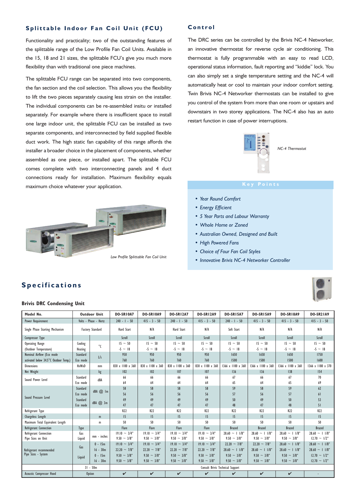#### **Splittable Indoor Fan Coil Unit (FCU)**

Functionality and practicality; two of the outstanding features of the splittable range of the Low Profile Fan Coil Units. Available in the 15, 18 and 21 sizes, the splittable FCU's give you much more flexibility than with traditional one piece machines.

The splittable FCU range can be separated into two components, the fan section and the coil selection. This allows you the flexibility to lift the two pieces separately causing less strain on the installer. The individual components can be re-assembled insitu or installed separately. For example where there is insufficient space to install one large indoor unit, the splittable FCU can be installed as two separate components, and interconnected by field supplied flexible duct work. The high static fan capability of this range affords the installer a broader choice in the placement of components, whether assembled as one piece, or installed apart. The splittable FCU comes complete with two interconnecting panels and 4 duct connections ready for installation. Maximum flexibility equals maximum choice whatever your application.

![](_page_2_Picture_3.jpeg)

#### **Control**

The DRC series can be controlled by the Brivis NC-4 Networker, an innovative thermostat for reverse cycle air conditioning. This thermostat is fully programmable with an easy to read LCD, operational status information, fault reporting and "kiddie" lock. You can also simply set a single temperature setting and the NC-4 will automatically heat or cool to maintain your indoor comfort setting. Twin Brivis NC-4 Networker thermostats can be installed to give you control of the system from more than one room or upstairs and downstairs in two storey applications. The NC-4 also has an auto restart function in case of power interruptions.

![](_page_2_Picture_6.jpeg)

*NC-4 Thermostat*

# **Key Points**

- *Year Round Comfort*
- *Energy Efficient*
- *5 Year Parts and Labour Warranty*
- *Whole Home or Zoned*
- *Australian Owned, Designed and Built*
- *High Powered Fans*
- *Choice of Four Fan Coil Styles*
- *Innovative Brivis NC-4 Networker Controller*

![](_page_2_Picture_17.jpeg)

# **Specifications**

#### **Brivis DRC Condensing Unit**

| Model No.                             | <b>Outdoor Unit</b>     |                       | DO-SRIOA7          | DO-SR10A9          | <b>DO-SR12A7</b>   | <b>DO-SR12A9</b>   | <b>DO-SR15A7</b>                 | <b>DO-SR15A9</b>    | <b>DO-SR18A9</b>    | <b>DO-SR21A9</b>    |  |  |
|---------------------------------------|-------------------------|-----------------------|--------------------|--------------------|--------------------|--------------------|----------------------------------|---------------------|---------------------|---------------------|--|--|
| Power Requirement                     |                         | Volts - Phase - Hertz | $240 - 1 - 50$     | $415 - 3 - 50$     | $240 - 1 - 50$     | $415 - 3 - 50$     | $240 - 1 - 50$                   | $415 - 3 - 50$      | $415 - 3 - 50$      | $415 - 3 - 50$      |  |  |
| Single Phase Starting Mechanism       | <b>Factory Standard</b> |                       | Hard Start         | N/A                | Hard Start         | N/A                | Soft Start                       | N/A                 | N/A                 | N/A                 |  |  |
| Compressor Type                       |                         |                       | Scroll             | Scroll             | Scroll             | Scroll             | Scroll                           | Scroll              | Scroll              | Scroll              |  |  |
| Operating Range                       | Cooling                 | $^{\circ}$            | $15 \sim 50$       | $15 - 50$          | $15 - 50$          | $15 - 50$          | $15 \sim 50$                     | $15 \sim 50$        | $15 - 50$           | $15 - 50$           |  |  |
| (Outdoor Temperature)                 | Heating                 |                       | $-5 \sim 18$       | $-5 \sim 18$       | $-5 \sim 18$       | $-5 \sim 18$       | $-5 \sim 18$                     | $-5 \sim 18$        | $-5 \sim 18$        | $-5 \sim 18$        |  |  |
| Nominal Airflow (Eco mode             | Standard                | L/s                   | 950                | 950                | 950                | 950                | 1650                             | 1650                | 1650                | 1750                |  |  |
| activated below 34.5°C Outdoor Temp.) | Eco mode                |                       | 760                | 760                | 760                | 760                | 1500                             | 1500                | 1500                | 1600                |  |  |
| <b>Dimensions</b>                     | HxWxD                   | mm                    | 830 x 1100 x 360   | 830 x 1100 x 360   | 830 x 1100 x 360   | 830 x 1100 x 360   | 1366 x 1100 x 360                | 1366 x 1100 x 360   | 1366 x 1100 x 360   | 1366 x 1180 x 370   |  |  |
| Net Weight                            |                         | kg                    | 102                | 102                | 107                | 107                | 136                              | 136                 | 138                 | <b>154</b>          |  |  |
| Sound Power Level                     | Standard                | dBA                   | 66                 | 66                 | 66                 | 66                 | 67                               | 66                  | 67                  | 70                  |  |  |
|                                       | Eco mode                |                       | 64                 | 64                 | 64                 | 64                 | 65                               | 64                  | 65                  | 69                  |  |  |
|                                       | Standard                | dBA @ Im              | 58                 | 58                 | 58                 | 58                 | 59                               | 58                  | 59                  | 62                  |  |  |
|                                       | Eco mode                |                       | 56                 | 56                 | 56                 | 56                 | 57                               | 56                  | 57                  | 61                  |  |  |
| Sound Pressure Level                  | Standard                | dBA @ 3m              | 49                 | 49                 | 49                 | 49                 | 50                               | 49                  | 50                  | 53                  |  |  |
|                                       | Eco mode                |                       | 47                 | 47                 | 47                 | 47                 | 48                               | 47                  | 48                  | 51                  |  |  |
| Refrigerant Type                      |                         |                       | R22                | R <sub>22</sub>    | R <sub>22</sub>    | R22                | R22                              | R <sub>22</sub>     | R22                 | R <sub>22</sub>     |  |  |
| Chargeless Length                     |                         | m                     | 15                 | 15                 | 15                 | 15                 | 15                               | 15                  | 15                  | 15                  |  |  |
| Maximum Total Equivalent Length       |                         | m                     | 50                 | 50                 | 50                 | 50                 | 50                               | 50                  | 50                  | 50                  |  |  |
| Refrigerant Connection                | Type                    |                       | Flare              | Flare              | Flare              | Flare              | <b>Brazed</b>                    | <b>Brazed</b>       | <b>Brazed</b>       | <b>Brazed</b>       |  |  |
| Refrigerant Connection                | Gas                     | mm - inches           | $19.10 \sim 3/4"$  | $19.10 \sim 3/4"$  | $19.10 \sim 3/4"$  | $19.10 \sim 3/4"$  | $28.60 \sim 11/8$ "              | $28.60 \sim 11/8$ " | $28.60 \sim 11/8$ " | $28.60 \sim 11/8$ " |  |  |
| Pipe Sizes on Unit                    | Liquid                  |                       | $9.50 - 3/8"$      | $9.50 \sim 3/8$ "  | $9.50 - 3/8"$      | $9.50 \sim 3/8$ "  | $9.50 \sim 3/8$ "                | $9.50 \sim 3/8"$    | $9.50 \sim 3/8$ "   | $12.70 \sim 1/2"$   |  |  |
|                                       | Gas                     | $0 - 15m$             | $19.10 \sim 3/4"$  | $19.10 \sim 3/4"$  | $19.10 \sim 3/4"$  | $19.10 \sim 3/4"$  | $22.20 \sim 7/8$ "               | $22.20 \sim 7/8"$   | $28.60 \sim 11/8$ " | $28.60 \sim 11/8$ " |  |  |
| Refrigerant recommended               |                         | $16 - 30m$            | $22.20 \sim 7/8$ " | $22.20 \sim 7/8$ " | $22.20 \sim 7/8$ " | $22.20 \sim 7/8$ " | $28.60 \sim 11/8$ "              | $28.60 \sim 11/8$ " | $28.60 \sim 11/8$ " | $28.60 \sim 11/8$ " |  |  |
| Pipe Sizes - System                   | Liquid                  | $0 - 15m$             | $9.50 \sim 3/8$ "  | $9.50 \sim 3/8$ "  | $9.50 \sim 3/8$ "  | $9.50 \sim 3/8$ "  | $9.50 \sim 3/8$ "                | $9.50 \sim 3/8$ "   | $9.50 \sim 3/8$ "   | $12.70 \sim 1/2"$   |  |  |
|                                       |                         | $16 - 30m$            | $9.50 \sim 3/8"$   | $9.50 \sim 3/8$ "  | $9.50 \sim 3/8$ "  | $9.50 \sim 3/8$ "  | $9.50 \sim 3/8$ "                | $9.50 \sim 3/8$ "   | $9.50 \sim 3/8$ "   | $12.70 - 1/2"$      |  |  |
|                                       |                         | $31 - 50m$            |                    |                    |                    |                    | Consult Brivis Technical Support |                     |                     |                     |  |  |
| <b>Acoustic Compressor Hood</b>       |                         | <b>Option</b>         | V                  | $\checkmark$       | $\checkmark$       | V                  | ✓                                | V                   | $\checkmark$        |                     |  |  |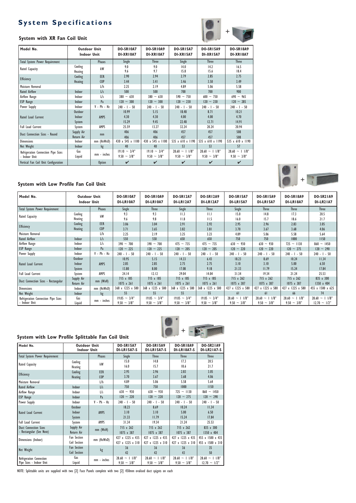# **System Specifications**

![](_page_3_Picture_1.jpeg)

#### **System with XR Fan Coil Unit**

| Model No.                                            | <b>Outdoor Unit</b><br><b>Indoor Unit</b> |               | DO-SRIOA7<br>DI-XRIOA7             | DO-SRIOA9<br>DI-XRIOA7                | <b>DO-SR15A7</b><br>DI-XRI5A7           | <b>DO-SR15A9</b><br>DI-XRI5A7           | <b>DO-SR18A9</b><br>DI-XRI8A7           |
|------------------------------------------------------|-------------------------------------------|---------------|------------------------------------|---------------------------------------|-----------------------------------------|-----------------------------------------|-----------------------------------------|
| Total System Power Requirement                       |                                           | <b>Phases</b> | Single                             | <b>Three</b>                          | Single                                  | <b>Three</b>                            | <b>Three</b>                            |
| Rated Capacity                                       | Cooling<br>Heating                        | kW            | 9.0<br>9.6                         | 9.0<br>9.7                            | 14.0<br>15.8                            | 14.2<br>15.6                            | 16.5<br>18.4                            |
| Efficiency                                           | Cooling<br>Heating                        | EER<br>COP    | 2.90<br>3.44                       | 2.94<br>3.41                          | 2.79<br>3.46                            | 2.85<br>3.50                            | 2.75<br>3.49                            |
| Moisture Removal                                     |                                           | L/h           | 2.25                               | 2.19                                  | 4.89                                    | 5.06                                    | 5.58                                    |
| <b>Rated Airflow</b>                                 | Indoor                                    | 1/s           | 500                                | 500                                   | 700                                     | 700                                     | 900                                     |
| Airflow Range                                        | Indoor                                    | L/s           | $380 \sim 630$                     | $380 - 630$                           | $590 \sim 750$                          | $600 \sim 750$                          | $690 - 965$                             |
| ESP Range                                            | Indoor                                    | Pa            | $120 - 300$                        | $120 \sim 300$                        | $120 - 230$                             | $120 - 230$                             | $120 - 285$                             |
| Power Supply                                         | Indoor                                    | $V - Ph - Hz$ | $240 - 1 - 50$                     | $240 - 1 - 50$                        | $240 - 1 - 50$                          | $240 - 1 - 50$                          | $240 - 1 - 50$                          |
| Rated Load Current                                   | Outdoor<br>Indoor<br>System               | <b>AMPS</b>   | 10.99<br>4.30<br>15.29             | 5.15<br>4.30<br>9.45                  | 18.48<br>4.00<br>22.48                  | 8.71<br>4.00<br>12.71                   | 10.21<br>4.70<br>14.91                  |
| <b>Full Load Current</b>                             | System                                    | AMPS          | 25.59                              | 13.27                                 | 32.24                                   | 20.24                                   | 20.94                                   |
| Duct Connection Sizes - Round                        | Supply Air<br><b>Return Air</b>           | mm            | 406<br>406                         | 406<br>406                            | 457<br>457                              | 457<br>457                              | 508<br>508                              |
| <b>Dimensions</b>                                    | Indoor                                    | mm (HxWxD)    | 430 x 545 x 1100                   | 430 x 545 x 1100                      | 535 x 610 x 1190                        | 535 x 610 x 1190                        | 535 x 610 x 1190                        |
| Net Weight                                           | Indoor                                    | kg            | 40                                 | 40                                    | 53                                      | 53                                      | 57                                      |
| Refrigeration Connection Pipe Sizes<br>- Indoor Unit | Gas<br>Liquid                             | mm - inches   | $19.10 \sim 3/4"$<br>$9.50 - 3/8"$ | $19.10 \sim 3/4"$<br>$9.50 \sim 3/8"$ | $28.60 \sim 1$ 1/8"<br>$9.50 \sim 3/8"$ | $28.60 \sim 11/8$ "<br>$9.50 \sim 3/8"$ | $28.60 \sim 11/8$ "<br>$9.50 \sim 3/8"$ |
| Vertical Fan Coil Unit Configuration                 |                                           | <b>Option</b> | ✓                                  | $\boldsymbol{\mathcal{U}}$            | $\boldsymbol{\mathcal{U}}$              | ✓                                       | $\boldsymbol{\nu}$                      |

#### **System with Low Profile Fan Coil Unit**

| Model No.                           | <b>Outdoor Unit</b><br><b>Indoor Unit</b> |               | DO-SRIOA7<br>DI-LRIOA7 | DO-SR10A9<br>DI-LR10A7 | <b>DO-SR12A7</b><br>DI-LRI2A7 | <b>DO-SR12A9</b><br>DI-LR12A7 | DO-SR15A7<br>DI-LR15A7 | <b>DO-SR15A9</b><br>DI-LR15A7 | <b>DO-SR18A9</b><br>DI-LR18A7 | <b>DO-SR21A9</b><br><b>DI-LR21A7</b> |
|-------------------------------------|-------------------------------------------|---------------|------------------------|------------------------|-------------------------------|-------------------------------|------------------------|-------------------------------|-------------------------------|--------------------------------------|
| Total System Power Requirement      |                                           | Phases        | Single                 | <b>Three</b>           | Single                        | <b>Three</b>                  | Single                 | <b>Three</b>                  | <b>Three</b>                  | <b>Three</b>                         |
| Rated Capacity                      | Cooling                                   | kW            | 9.3                    | 9.3                    | 11.3                          | 11.1                          | 15.0                   | 14.8                          | 17.3                          | 20.5                                 |
|                                     | Heating                                   |               | 9.6                    | 9.8                    | 11.8                          | 11.5                          | 16.0                   | 15.7                          | 18.6                          | 21.7                                 |
| <b>Efficiency</b>                   | Cooling                                   | EER           | 3.06                   | 3.04                   | 2.91                          | 2.92                          | 2.95                   | 2.96                          | 2.83                          | 3.05                                 |
|                                     | Heating                                   | <b>COP</b>    | 3.71                   | 3.65                   | 3.82                          | 3.81                          | 3.70                   | 3.67                          | 3.68                          | 4.06                                 |
| Moisture Removal                    |                                           | L/h           | 2.25                   | 2.19                   | 3.25                          | 3.23                          | 4.89                   | 5.06                          | 5.58                          | 5.64                                 |
| Rated Airflow                       | Indoor                                    | L/s           | 550                    | 550                    | 650                           | 650                           | 750                    | 750                           | 1000                          | 1150                                 |
| Airflow Range                       | Indoor                                    | L/s           | $390 \sim 700$         | $390 \sim 700$         | $475 \sim 735$                | $475 \sim 735$                | $630 - 930$            | $630 - 930$                   | $725 \sim 1130$               | $860 \sim 1450$                      |
| <b>ESP</b> Range                    | Indoor                                    | Pa            | $120 - 225$            | $120 \sim 225$         | $120 \sim 205$                | $120 - 205$                   | $120 - 220$            | $120 - 220$                   | $120 \sim 275$                | $120 - 290$                          |
| Power Supply                        | Indoor                                    | $V - Ph - Hz$ | $240 - 1 - 50$         | $240 - 1 - 50$         | $240 - 1 - 50$                | $240 - 1 - 50$                | $240 - 1 - 50$         | $240 - 1 - 50$                | $240 - 1 - 50$                | $240 - 1 - 50$                       |
|                                     | Outdoor                                   |               | 10.95                  | 5.15                   | 14.33                         | 6.43                          | 18.23                  | 8.69                          | 10.24                         | 11.34                                |
| Rated Load Current                  | Indoor                                    | <b>AMPS</b>   | 2.85                   | 2.85                   | 2.75                          | 2.75                          | 3.10                   | 3.10                          | 5.00                          | 6.50                                 |
|                                     | System                                    |               | 13.80                  | 8.00                   | 17.08                         | 9.18                          | 21.33                  | 11.79                         | 15.24                         | 17.84                                |
| Full Load Current                   | System                                    | AMPS          | 24.14                  | 12.12                  | 29.04                         | 14.04                         | 31.34                  | 19.34                         | 21.24                         | 25.53                                |
| Duct Connection Sizes - Rectangular | Supply Air                                | $mm$ (WxH)    | 715 x 185              | 715 x 185              | 715 x 185                     | 715 x 185                     | 715 x 262              | 715 x 262                     | 715 x 262                     | 835 x 300                            |
|                                     | Return Air                                |               | $1075 \times 261$      | $1075 \times 261$      | $1075 \times 261$             | $1075 \times 261$             | 1075 x 387             | 1075 x 387                    | 1075 x 387                    | 1350 x 404                           |
| <b>Dimensions</b>                   | Indoor                                    | mm (HxWxD)    | 368 x 1225 x 580       | 368 x 1225 x 580       | 368 x 1225 x 580              | 368 x 1225 x 580              | 427 x 1225 x 580       | 427 x 1225 x 580              | 427 x 1225 x 580              | 455 x 1500 x 625                     |
| Net Weight                          | Indoor                                    | kg            | 55                     | 55                     | 55                            | 55                            | 61                     | 61                            | 66                            | 74                                   |
| Refrigeration Connection Pipe Sizes | Gas                                       | mm - inches   | $19.05 \sim 3/4"$      | $19.05 \sim 3/4"$      | $19.05 \sim 3/4"$             | $19.05 \sim 3/4"$             | $28.60 \sim 1$ 1/8"    | $\sim$ 1 1/8"<br>28.60        | $\sim$ 1 1/8"<br>28.60        | $28.60 \sim 11/8$ "                  |
| - Indoor Unit                       | Liquid                                    |               | $9.50 \sim 3/8"$       | $9.50 - 3/8"$          | $9.50 \sim 3/8"$              | $9.50 - 3/8"$                 | $9.50 - 3/8"$          | $9.50 \sim 3/8"$              | $9.50 \sim 3/8"$              | $12.70 \sim 1/2"$                    |

![](_page_3_Picture_6.jpeg)

#### **System with Low Profile Splittable Fan Coil Unit**

| Model No.                                                | <b>Outdoor Unit</b><br><b>Indoor Unit</b> |                        | <b>DO-SR15A7</b><br>DI-LRI5A7-S         | <b>DO-SR15A9</b><br>DI-LRI5A7-S         | <b>DO-SR18A9</b><br>DI-LR18A7-S         | <b>DO-SR21A9</b><br><b>DI-LR2 IA7-S</b> |
|----------------------------------------------------------|-------------------------------------------|------------------------|-----------------------------------------|-----------------------------------------|-----------------------------------------|-----------------------------------------|
| Total System Power Requirement                           |                                           | <b>Phases</b>          | Single                                  | <b>Three</b>                            | <b>Three</b>                            | <b>Three</b>                            |
| Rated Capacity                                           | Cooling<br>Heating                        | kW                     | 15.0<br>16.0                            | 14.8<br>15.7                            | 17.3<br>18.6                            | 20.5<br>21.7                            |
| Efficiency                                               | Cooling<br><b>Heating</b>                 | EER<br>C <sub>OP</sub> | 2.95<br>3.70                            | 2.96<br>3.67                            | 2.83<br>3.68                            | 3.05<br>4.06                            |
| Moisture Removal                                         |                                           | L/h                    | 4.89                                    | 5.06                                    | 5.58                                    | 5.64                                    |
| <b>Rated Airflow</b>                                     | Indoor                                    | L/s                    | 750                                     | 750                                     | 1000                                    | 1150                                    |
| Airflow Range                                            | Indoor                                    | $\frac{1}{s}$          | $630 - 930$                             | $630 - 930$                             | $725 \sim 1130$                         | $860 \sim 1450$                         |
| ESP Range                                                | Indoor                                    | Pa                     | $120 - 220$                             | $120 - 220$                             | $120 - 275$                             | $120 - 290$                             |
| Power Supply                                             | Indoor                                    | $V - Ph - Hz$          | $240 - 1 - 50$                          | $240 - 1 - 50$                          | $240 - 1 - 50$                          | $240 - 1 - 50$                          |
| Rated Load Current                                       | Outdoor<br>Indoor<br>System               | <b>AMPS</b>            | 18.23<br>3.10<br>21.33                  | 8.69<br>3.10<br>11.79                   | 10.24<br>5.00<br>15.24                  | 11.34<br>6.50<br>17.84                  |
| Full Load Current                                        | System                                    | AMPS                   | 31.34                                   | 19.34                                   | 21.24                                   | 25.53                                   |
| <b>Duct Connection Sizes</b><br>- Rectangular (See Note) | Supply Air<br><b>Return Air</b>           | mm (WxH)               | 715 x 262<br>1075 x 387                 | 715 x 262<br>1075 x 387                 | 715 x 262<br>1075 x 387                 | 835 x 300<br>1350 x 404                 |
| Dimensions (Indoor)                                      | Fan Section<br>Coil Section               | mm (HxWxD)             | 427 x 1225 x 435<br>427 x 1225 x 310    | 427 x 1225 x 435<br>427 x 1225 x 310    | 427 x 1225 x 435<br>427 x 1225 x 310    | 455 x 1500 x 435<br>455 x 1500 x 310    |
| Net Weight                                               | <b>Fan Section</b><br><b>Coil Section</b> | kg                     | 36<br>42                                | 36<br>42                                | 36<br>43                                | 35<br>50                                |
| Refrigeration Connection<br>Pipe Sizes - Indoor Unit     | Gas<br>Liquid                             | mm - inches            | $28.60 \sim 11/8$ "<br>$9.50 \sim 3/8"$ | $28.60 \sim 11/8$ "<br>$9.50 \sim 3/8"$ | $28.60 \sim 11/8$ "<br>$9.50 \sim 3/8"$ | $28.60 - 11/8$ "<br>$12.70 \sim 1/2"$   |

NOTE: Splittable units are supplied with two [2] Face Panels complete with two [2] 450mm ovalised duct spigots on each

![](_page_3_Picture_10.jpeg)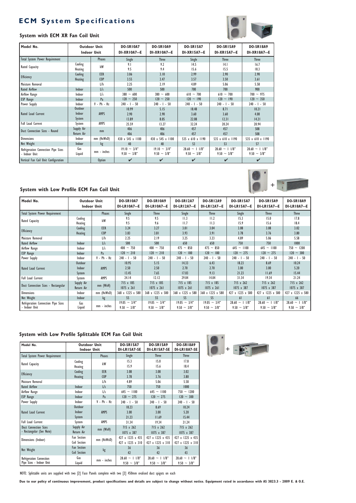# **ECM System Specifications**

## **System with ECM XR Fan Coil Unit**

![](_page_4_Picture_2.jpeg)

 $\bullet$ 

| Model No.                                            | <b>Outdoor Unit</b><br><b>Indoor Unit</b> |                        | DO-SRIOA7<br><b>DI-XR10A7--E</b>   | DO-SRIOA9<br>DI-XRIOA7--E             | <b>DO-SR15A7</b><br><b>DI-XRI5A7--E</b> | <b>DO-SR15A9</b><br><b>DI-XR15A7--E</b> | <b>DO-SR18A9</b><br><b>DI-XR18A7--E</b> |
|------------------------------------------------------|-------------------------------------------|------------------------|------------------------------------|---------------------------------------|-----------------------------------------|-----------------------------------------|-----------------------------------------|
| Total System Power Requirement                       |                                           | <b>Phases</b>          | Single                             | <b>Three</b>                          | Single                                  | <b>Three</b>                            | <b>Three</b>                            |
| Rated Capacity                                       | Cooling<br>Heating                        | kW                     | 9.1<br>9.5                         | 9.2<br>9.4                            | 14.5<br>15.6                            | 4.1<br>15.5                             | 16.7<br>18.3                            |
| Efficiency                                           | Cooling<br>Heating                        | EER<br>C <sub>OP</sub> | 3.06<br>3.55                       | 3.10<br>3.47                          | 2.99<br>3.57                            | 2.90<br>3.50                            | 2.90<br>3.61                            |
| Moisture Removal                                     |                                           | L/h                    | 2.25                               | 2.19                                  | 4.89                                    | 5.06                                    | 5.58                                    |
| <b>Rated Airflow</b>                                 | Indoor                                    | L/s                    | 500                                | 500                                   | 700                                     | 700                                     | 900                                     |
| Airflow Range                                        | Indoor                                    | $\mathsf{L/s}$         | $380 \sim 600$                     | $380 \sim 600$                        | $610 - 700$                             | $610 - 700$                             | $700 \sim 975$                          |
| ESP Range                                            | Indoor                                    | Pa                     | $120 - 250$                        | $120 - 250$                           | $120 \sim 190$                          | $120 \sim 190$                          | $120 \sim 350$                          |
| Power Supply                                         | Indoor                                    | $V - Ph - Hz$          | $240 - 1 - 50$                     | $240 - 1 - 50$                        | $240 - 1 - 50$                          | $240 - 1 - 50$                          | $240 - 1 - 50$                          |
| Rated Load Current                                   | Outdoor<br>Indoor<br>System               | <b>AMPS</b>            | 10.99<br>2.90<br>13.89             | 5.15<br>2.90<br>8.05                  | 18.48<br>3.60<br>22.08                  | 8.71<br>3.60<br> 2.3                    | 10.21<br>4.00<br>14.21                  |
| Full Load Current                                    | System                                    | AMPS                   | 25.59                              | 13.27                                 | 32.24                                   | 20.24                                   | 20.94                                   |
| Duct Connection Sizes - Round                        | Supply Air<br>Return Air                  | mm                     | 406<br>406                         | 406<br>406                            | 457<br>457                              | 457<br>457                              | 508<br>508                              |
| <b>Dimensions</b>                                    | Indoor                                    | $mm$ (HxWxD)           | 430 x 545 x 1100                   | 430 x 545 x 1100                      | 535 x 610 x 1190                        | 535 x 610 x 1190                        | 535 x 610 x 1190                        |
| Net Weight                                           | Indoor                                    | kg                     | 40                                 | 40                                    | 53                                      | 53                                      | 57                                      |
| Refrigeration Connection Pipe Sizes<br>- Indoor Unit | Gas<br>Liquid                             | mm - inches            | $19.10 - 3/4"$<br>$9.50 \sim 3/8"$ | $19.10 \sim 3/4"$<br>$9.50 \sim 3/8"$ | $28.60 \sim 11/8$ "<br>$9.50 \sim 3/8"$ | $28.60 \sim 11/8"$<br>$9.50 \sim 3/8"$  | $28.60 \sim 1$ 1/8"<br>$9.50 \sim 3/8"$ |
| Vertical Fan Coil Unit Configuration                 |                                           | <b>Option</b>          | ✓                                  | ✔                                     | ✔                                       | ✓                                       | ✓                                       |

# **System with Low Profile ECM Fan Coil Unit**

| Model No.                                            | <b>Outdoor Unit</b><br><b>Indoor Unit</b> |                 | DO-SRIOA7<br>DI-LRIOA7--E                | DO-SRIOA9<br>DI-LRIOA7--E             | <b>DO-SR12A7</b><br><b>DI-LR12A7--E</b> | <b>DO-SR12A9</b><br><b>DI-LR12A7--E</b> | <b>DO-SR15A7</b><br><b>DI-LR15A7--E</b> | <b>DO-SR15A9</b><br><b>DI-LR15A7--E</b> | DO-SRI8A9<br><b>DI-LR18A7--E</b>        |
|------------------------------------------------------|-------------------------------------------|-----------------|------------------------------------------|---------------------------------------|-----------------------------------------|-----------------------------------------|-----------------------------------------|-----------------------------------------|-----------------------------------------|
| Total System Power Requirement                       |                                           | <b>Phases</b>   | Single                                   | <b>Three</b>                          | Single                                  | <b>Three</b>                            | Single                                  | <b>Three</b>                            | <b>Three</b>                            |
| Rated Capacity                                       | Cooling                                   | kW              | 9.5                                      | 9.5                                   | 11.3                                    | 11.2                                    | 15.3                                    | 15.0                                    | 17.8                                    |
|                                                      | Heating                                   |                 | 9.5                                      | 9.6                                   | 11.7                                    | 11.3                                    | 15.9                                    | 15.6                                    | 18.4                                    |
| Efficiency                                           | Cooling                                   | EER             | 3.24                                     | 3.27                                  | 3.01                                    | 3.04                                    | 3.08                                    | 3.08                                    | 3.02                                    |
|                                                      | Heating                                   | C <sub>OP</sub> | 3.83                                     | 3.81                                  | 3.93                                    | 3.91                                    | 3.78                                    | 3.76                                    | 3.80                                    |
| Moisture Removal                                     |                                           | L/h             | 2.25                                     | 2.19                                  | 3.25                                    | 3.23                                    | 4.89                                    | 5.06                                    | 5.58                                    |
| <b>Rated Airflow</b>                                 | Indoor                                    | L/s             | 500                                      | 500                                   | 650                                     | 650                                     | 750                                     | 750                                     | 1000                                    |
| Airflow Range                                        | Indoor                                    | L/s             | $400 \sim 750$                           | $400 \sim 750$                        | $475 \sim 850$                          | $475 \sim 850$                          | $645 \sim 1100$                         | $645 \sim 1100$                         | $750 - 1200$                            |
| ESP Range                                            | Indoor                                    | Pa              | $120 - 210$                              | $120 - 210$                           | $120 \sim 180$                          | $120 \sim 180$                          | $120 \sim 275$                          | $120 \sim 275$                          | $120 - 300$                             |
| Power Supply                                         | Indoor                                    | $V - Ph - Hz$   | $240 - 1 - 50$                           | $240 - 1 - 50$                        | $240 - 1 - 50$                          | $240 - 1 - 50$                          | $240 - 1 - 50$                          | $240 - 1 - 50$                          | $240 - 1 - 50$                          |
|                                                      | Outdoor                                   |                 | 10.95                                    | 5.15                                  | 14.33                                   | 6.43                                    | 18.23                                   | 8.69                                    | 10.24                                   |
| Rated Load Current                                   | Indoor                                    | AMPS            | 2.50                                     | 2.50                                  | 2.70                                    | 2.70                                    | 3.00                                    | 3.00                                    | 5.20                                    |
|                                                      | System                                    |                 | 13.45                                    | 7.65                                  | 17.03                                   | 9.13                                    | 21.23                                   | 11.69                                   | 15.44                                   |
| Full Load Current                                    | System                                    | AMPS            | 24.14                                    | 12.12                                 | 29.04                                   | 14.04                                   | 31.34                                   | 19.34                                   | 21.24                                   |
| Duct Connection Sizes - Rectangular                  | Supply Air                                | $mm$ (WxH)      | 715 x 185                                | 715 x 185                             | 715 x 185                               | 715 x 185                               | 715 x 262                               | 715 x 262                               | 715 x 262                               |
|                                                      | Return Air                                |                 | $1075 \times 261$                        | $1075 \times 261$                     | $1075 \times 261$                       | $1075 \times 261$                       | 1075 x 387                              | 1075 x 387                              | 1075 x 387                              |
| <b>Dimensions</b>                                    | Indoor                                    | $mm$ (HxWxD)    | 368 x 1225 x 580                         | 368 x 1225 x 580                      | 368 x 1225 x 580                        | 368 x 1225 x 580                        | 427 x 1225 x 580                        | 427 x 1225 x 580                        | 427 x 1225 x 580                        |
| Net Weight                                           | Indoor                                    | kg              | 55                                       | 55                                    | 55                                      | 55                                      | 61                                      | 61                                      | 66                                      |
| Refrigeration Connection Pipe Sizes<br>- Indoor Unit | Gas<br>Liquid                             | mm - inches     | $\sim 3/4"$<br>19.05<br>$9.50 \sim 3/8"$ | $19.05 \sim 3/4"$<br>$9.50 \sim 3/8"$ | $19.05 \sim 3/4"$<br>$9.50 \sim 3/8"$   | $19.05 \sim 3/4"$<br>$9.50 \sim 3/8"$   | $28.60 \sim 11/8"$<br>$9.50 \sim 3/8"$  | $28.60 \sim 1$ 1/8"<br>$9.50 \sim 3/8"$ | $\sim$ 1 1/8"<br>28.60<br>$9.50 - 3/8"$ |

#### **System with Low Profile Splittable ECM Fan Coil Unit**

| Model No.                      | <b>Outdoor Unit</b> |               | <b>DO-SR15A7</b>   | <b>DO-SR15A9</b>    | <b>DO-SR18A9</b>    |
|--------------------------------|---------------------|---------------|--------------------|---------------------|---------------------|
|                                | <b>Indoor Unit</b>  |               | DI-LRI 5A7-SE      | DI-LR15A7-SE        | DI-LRI8A7-SE        |
| Total System Power Requirement |                     | <b>Phases</b> | Single             | <b>Three</b>        | <b>Three</b>        |
|                                | Cooling             | kW            | 15.3               | 15.0                | 17.8                |
| Rated Capacity                 | Heating             |               | 15.9               | 15.6                | 18.4                |
| Efficiency                     | Cooling             | EER           | 3.08               | 3.08                | 3.02                |
|                                | <b>Heating</b>      | <b>COP</b>    | 3.78               | 3.76                | 3.80                |
| Moisture Removal               |                     | L/h           | 4.89               | 5.06                | 5.58                |
| <b>Rated Airflow</b>           | Indoor              | L/s           | 750                | 750                 | 1000                |
| Airflow Range                  | Indoor              | 1/s           | $645 \sim 1100$    | $645 \sim 1100$     | $750 \sim 1200$     |
| ESP Range                      | Indoor              | Pa            | $120 \sim 275$     | $120 \sim 275$      | $120 \sim 300$      |
| Power Supply                   | Indoor              | $V - Ph - Hz$ | $240 - 1 - 50$     | $240 - 1 - 50$      | $240 - 1 - 50$      |
|                                | Outdoor             |               | 18.23              | 8.69                | 10.24               |
| Rated Load Current             | Indoor              | <b>AMPS</b>   | 3.00               | 3.00                | 5.20                |
|                                | System              |               | 21.23              | 11.69               | 15.44               |
| <b>Full Load Current</b>       | System              | AMPS          | 31.34              | 19.34               | 21.24               |
| <b>Duct Connection Sizes</b>   | Supply Air          | mm (WxH)      | 715 x 262          | 715 x 262           | 715 x 262           |
| - Rectangular (See Note)       | <b>Return Air</b>   |               | 1075 x 387         | 1075 x 387          | 1075 x 387          |
| Dimensions (Indoor)            | Fan Section         | mm (HxWxD)    | 427 x 1225 x 435   | 427 x 1225 x 435    | 427 x 1225 x 435    |
|                                | Coil Section        |               | 427 x 1225 x 310   | 427 x 1225 x 310    | 427 x 1225 x 310    |
| Net Weight                     | <b>Fan Section</b>  | kg            | 36                 | 36                  | 36                  |
|                                | <b>Coil Section</b> |               | 42                 | 42                  | 43                  |
| Refrigeration Connection       | Gas                 | mm - inches   | $28.60 \sim 11/8"$ | $28.60 \sim 1$ 1/8" | $28.60 \sim 11/8$ " |
| Pipe Sizes - Indoor Unit       | Liquid              |               | $9.50 \sim 3/8"$   | $9.50 \sim 3/8"$    | $9.50 - 3/8"$       |

![](_page_4_Picture_8.jpeg)

![](_page_4_Picture_9.jpeg)

**Due to our policy of continuous improvement, product specifications and details are subject to change without notice. Equipment rated in accordance with AS 3823.3 - 2009 E. & O.E.**